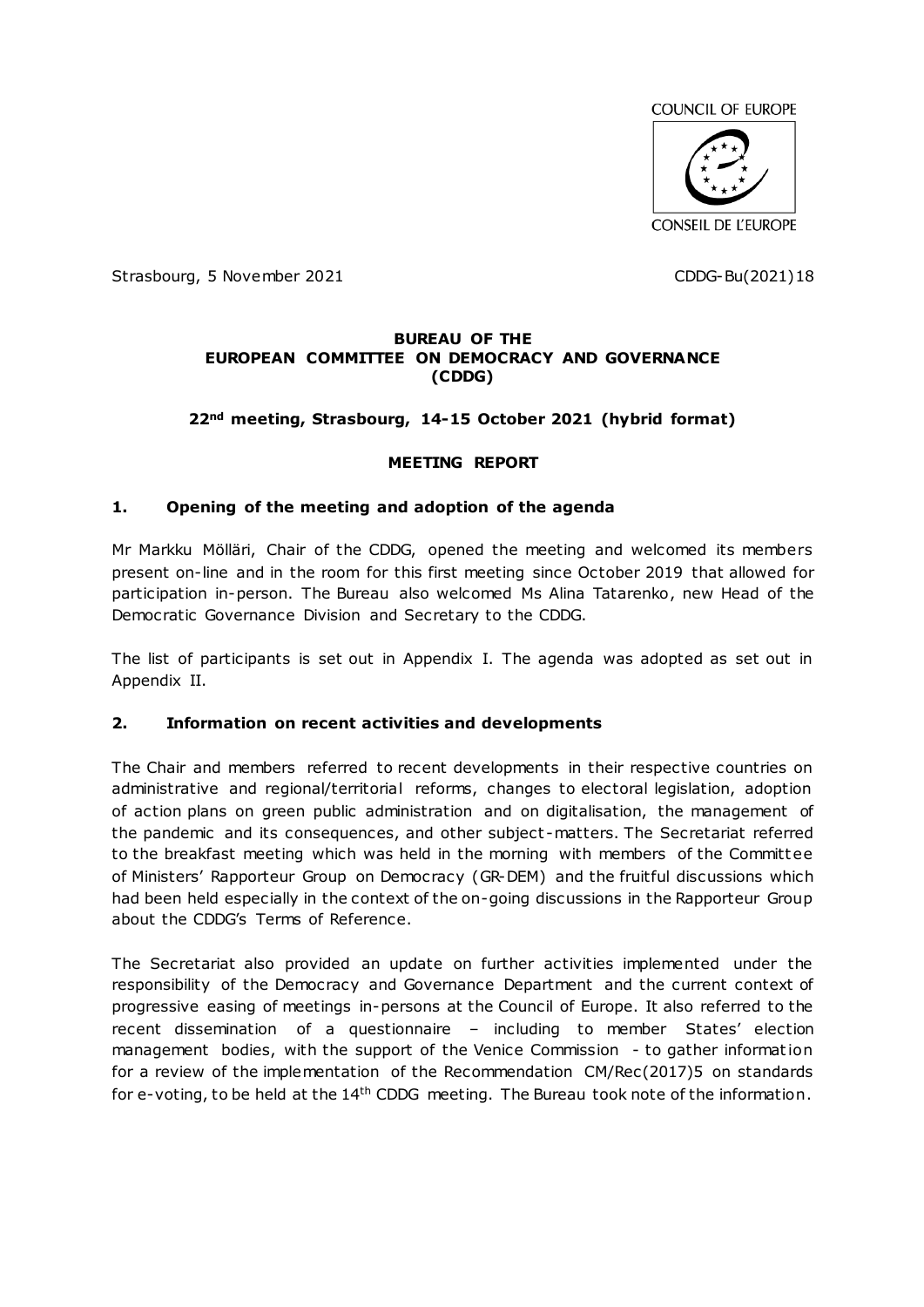

Strasbourg, 5 November 2021 CDDG-Bu(2021)18

#### **BUREAU OF THE EUROPEAN COMMITTEE ON DEMOCRACY AND GOVERNANCE (CDDG)**

## **22nd meeting, Strasbourg, 14-15 October 2021 (hybrid format)**

#### **MEETING REPORT**

#### **1. Opening of the meeting and adoption of the agenda**

Mr Markku Mölläri, Chair of the CDDG, opened the meeting and welcomed its members present on-line and in the room for this first meeting since October 2019 that allowed for participation in-person. The Bureau also welcomed Ms Alina Tatarenko, new Head of the Democratic Governance Division and Secretary to the CDDG.

The list of participants is set out in Appendix I. The agenda was adopted as set out in Appendix II.

#### **2. Information on recent activities and developments**

The Chair and members referred to recent developments in their respective countries on administrative and regional/territorial reforms, changes to electoral legislation, adoption of action plans on green public administration and on digitalisation, the management of the pandemic and its consequences, and other subject -matters. The Secretariat referred to the breakfast meeting which was held in the morning with members of the Committ ee of Ministers' Rapporteur Group on Democracy (GR-DEM) and the fruitful discussions which had been held especially in the context of the on-going discussions in the Rapporteur Group about the CDDG's Terms of Reference.

The Secretariat also provided an update on further activities implemented under the responsibility of the Democracy and Governance Department and the current context of progressive easing of meetings in-persons at the Council of Europe. It also referred to the recent dissemination of a questionnaire – including to member States' election management bodies, with the support of the Venice Commission - to gather informat ion for a review of the implementation of the Recommendation CM/Rec(2017)5 on standards for e-voting, to be held at the 14<sup>th</sup> CDDG meeting. The Bureau took note of the information.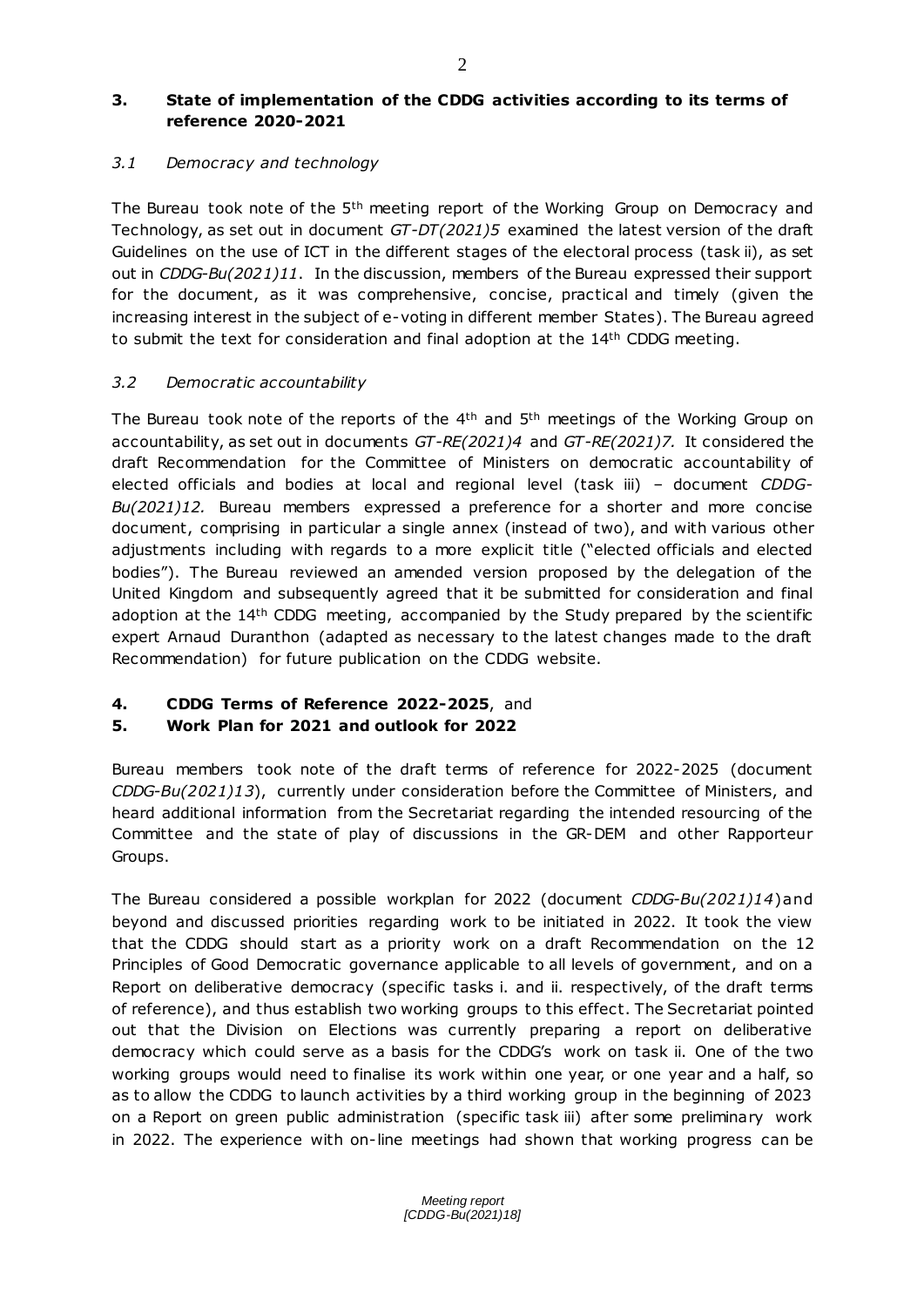## *3.1 Democracy and technology*

The Bureau took note of the 5<sup>th</sup> meeting report of the Working Group on Democracy and Technology, as set out in document *GT-DT(2021)5* examined the latest version of the draft Guidelines on the use of ICT in the different stages of the electoral process (task ii), as set out in *CDDG-Bu(2021)11*. In the discussion, members of the Bureau expressed their support for the document, as it was comprehensive, concise, practical and timely (given the increasing interest in the subject of e-voting in different member States). The Bureau agreed to submit the text for consideration and final adoption at the 14th CDDG meeting.

## *3.2 Democratic accountability*

The Bureau took note of the reports of the 4<sup>th</sup> and 5<sup>th</sup> meetings of the Working Group on accountability, as set out in documents *GT-RE(2021)4* and *GT-RE(2021)7.* It considered the draft Recommendation for the Committee of Ministers on democratic accountability of elected officials and bodies at local and regional level (task iii) – document *CDDG-Bu(2021)12.* Bureau members expressed a preference for a shorter and more concise document, comprising in particular a single annex (instead of two), and with various other adjustments including with regards to a more explicit title ("elected officials and elected bodies"). The Bureau reviewed an amended version proposed by the delegation of the United Kingdom and subsequently agreed that it be submitted for consideration and final adoption at the 14th CDDG meeting, accompanied by the Study prepared by the scientific expert Arnaud Duranthon (adapted as necessary to the latest changes made to the draft Recommendation) for future publication on the CDDG website.

# **4. CDDG Terms of Reference 2022-2025**, and

# **5. Work Plan for 2021 and outlook for 2022**

Bureau members took note of the draft terms of reference for 2022-2025 (document *CDDG-Bu(2021)13*), currently under consideration before the Committee of Ministers, and heard additional information from the Secretariat regarding the intended resourcing of the Committee and the state of play of discussions in the GR-DEM and other Rapporteur Groups.

The Bureau considered a possible workplan for 2022 (document *CDDG-Bu(2021)14*)and beyond and discussed priorities regarding work to be initiated in 2022. It took the view that the CDDG should start as a priority work on a draft Recommendation on the 12 Principles of Good Democratic governance applicable to all levels of government, and on a Report on deliberative democracy (specific tasks i. and ii. respectively, of the draft terms of reference), and thus establish two working groups to this effect. The Secretariat pointed out that the Division on Elections was currently preparing a report on deliberative democracy which could serve as a basis for the CDDG's work on task ii. One of the two working groups would need to finalise its work within one year, or one year and a half, so as to allow the CDDG to launch activities by a third working group in the beginning of 2023 on a Report on green public administration (specific task iii) after some preliminary work in 2022. The experience with on-line meetings had shown that working progress can be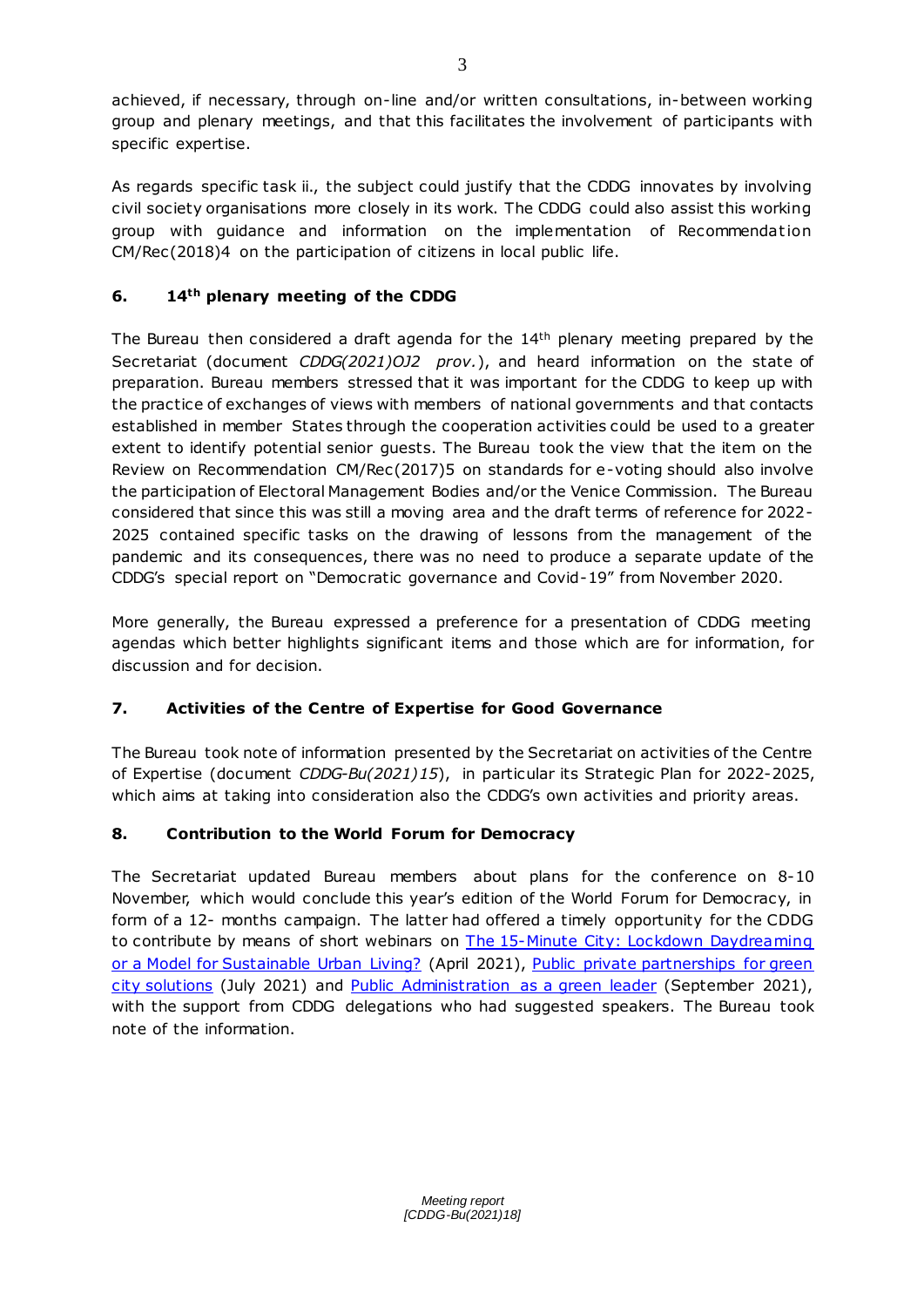achieved, if necessary, through on-line and/or written consultations, in-between working group and plenary meetings, and that this facilitates the involvement of participants with specific expertise.

As regards specific task ii., the subject could justify that the CDDG innovates by involving civil society organisations more closely in its work. The CDDG could also assist this working group with guidance and information on the implementation of Recommendation CM/Rec(2018)4 on the participation of citizens in local public life.

# **6. 14th plenary meeting of the CDDG**

The Bureau then considered a draft agenda for the  $14<sup>th</sup>$  plenary meeting prepared by the Secretariat (document *CDDG(2021)OJ2 prov.*), and heard information on the state of preparation. Bureau members stressed that it was important for the CDDG to keep up with the practice of exchanges of views with members of national governments and that contacts established in member States through the cooperation activities could be used to a greater extent to identify potential senior guests. The Bureau took the view that the item on the Review on Recommendation CM/Rec(2017)5 on standards for e-voting should also involve the participation of Electoral Management Bodies and/or the Venice Commission. The Bureau considered that since this was still a moving area and the draft terms of reference for 2022- 2025 contained specific tasks on the drawing of lessons from the management of the pandemic and its consequences, there was no need to produce a separate update of the CDDG's special report on "Democratic governance and Covid-19" from November 2020.

More generally, the Bureau expressed a preference for a presentation of CDDG meeting agendas which better highlights significant items and those which are for information, for discussion and for decision.

# **7. Activities of the Centre of Expertise for Good Governance**

The Bureau took note of information presented by the Secretariat on activities of the Centre of Expertise (document *CDDG-Bu(2021)15*), in particular its Strategic Plan for 2022-2025, which aims at taking into consideration also the CDDG's own activities and priority areas.

# **8. Contribution to the World Forum for Democracy**

The Secretariat updated Bureau members about plans for the conference on 8-10 November, which would conclude this year's edition of the World Forum for Democracy, in form of a 12- months campaign. The latter had offered a timely opportunity for the CDDG to contribute by means of short webinars on The 15-Minute City: Lockdown Daydreaming [or a Model for Sustainable Urban Living?](https://www.coe.int/en/web/good-governance/-/-the-15-minute-city-lockdown-daydreaming-or-a-model-for-sustainable-urban-living-a-democratic-governance-division-webinar) (April 2021), Public private partnerships for green [city solutions](https://www.coe.int/en/web/good-governance/-/environment-and-the-private-sector) (July 2021) and [Public Administration as a green leader](https://www.coe.int/en/web/world-forum-democracy/webinar-public-administration-as-a-green-leader) (September 2021), with the support from CDDG delegations who had suggested speakers. The Bureau took note of the information.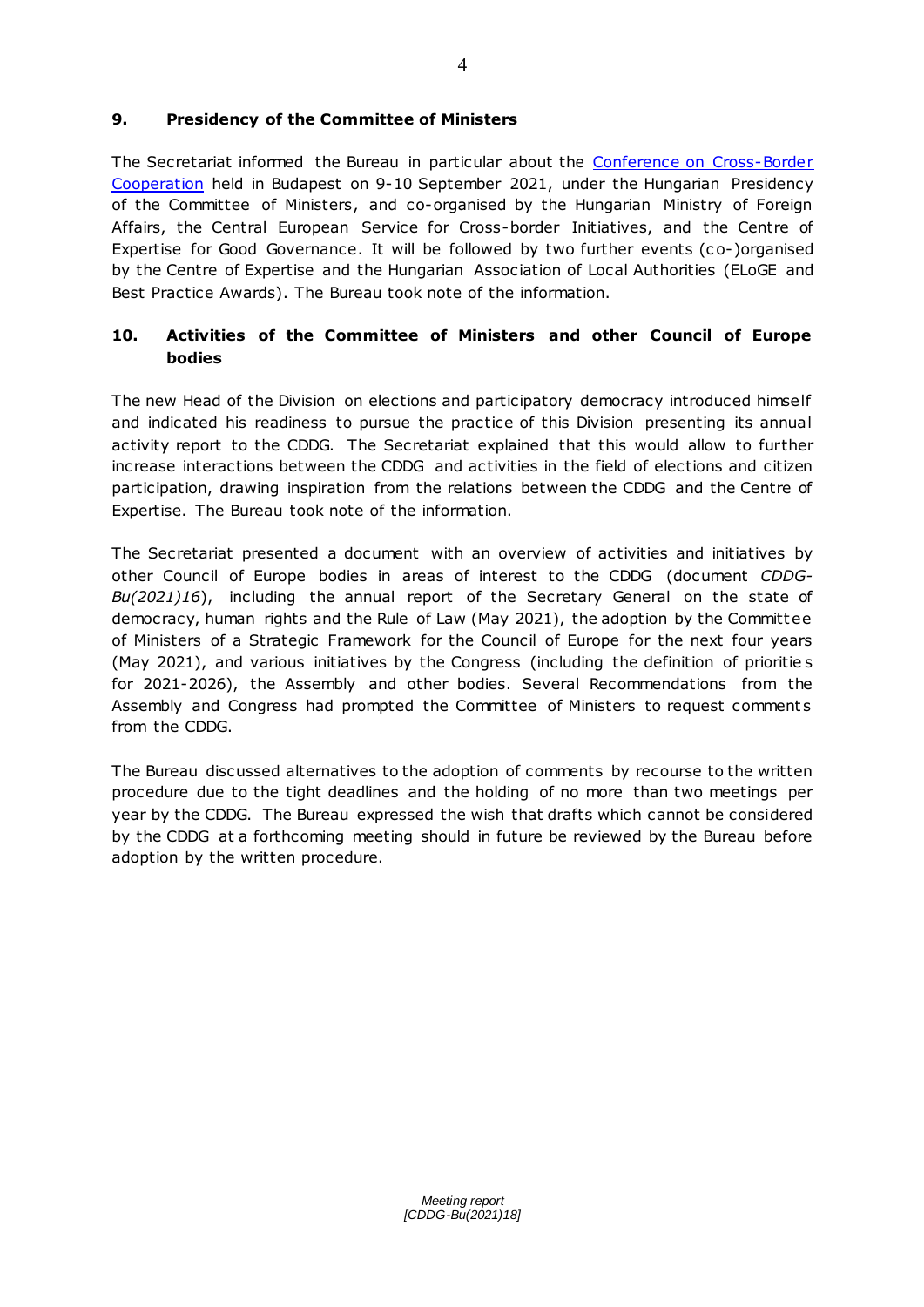## **9. Presidency of the Committee of Ministers**

The Secretariat informed the Bureau in particular about the [Conference on Cross-Border](https://www.coe.int/en/web/good-governance/-/budapest-conference-council-of-europe-instruments-and-tools-to-support-cross-border-cooperation)  [Cooperation](https://www.coe.int/en/web/good-governance/-/budapest-conference-council-of-europe-instruments-and-tools-to-support-cross-border-cooperation) held in Budapest on 9-10 September 2021, under the Hungarian Presidency of the Committee of Ministers, and co-organised by the Hungarian Ministry of Foreign Affairs, the Central European Service for Cross-border Initiatives, and the Centre of Expertise for Good Governance. It will be followed by two further events (co-)organised by the Centre of Expertise and the Hungarian Association of Local Authorities (ELoGE and Best Practice Awards). The Bureau took note of the information.

# **10. Activities of the Committee of Ministers and other Council of Europe bodies**

The new Head of the Division on elections and participatory democracy introduced himself and indicated his readiness to pursue the practice of this Division presenting its annual activity report to the CDDG. The Secretariat explained that this would allow to further increase interactions between the CDDG and activities in the field of elections and citizen participation, drawing inspiration from the relations between the CDDG and the Centre of Expertise. The Bureau took note of the information.

The Secretariat presented a document with an overview of activities and initiatives by other Council of Europe bodies in areas of interest to the CDDG (document *CDDG-Bu(2021)16*), including the annual report of the Secretary General on the state of democracy, human rights and the Rule of Law (May 2021), the adoption by the Committ ee of Ministers of a Strategic Framework for the Council of Europe for the next four years (May 2021), and various initiatives by the Congress (including the definition of prioritie s for 2021-2026), the Assembly and other bodies. Several Recommendations from the Assembly and Congress had prompted the Committee of Ministers to request comments from the CDDG.

The Bureau discussed alternatives to the adoption of comments by recourse to the written procedure due to the tight deadlines and the holding of no more than two meetings per year by the CDDG. The Bureau expressed the wish that drafts which cannot be considered by the CDDG at a forthcoming meeting should in future be reviewed by the Bureau before adoption by the written procedure.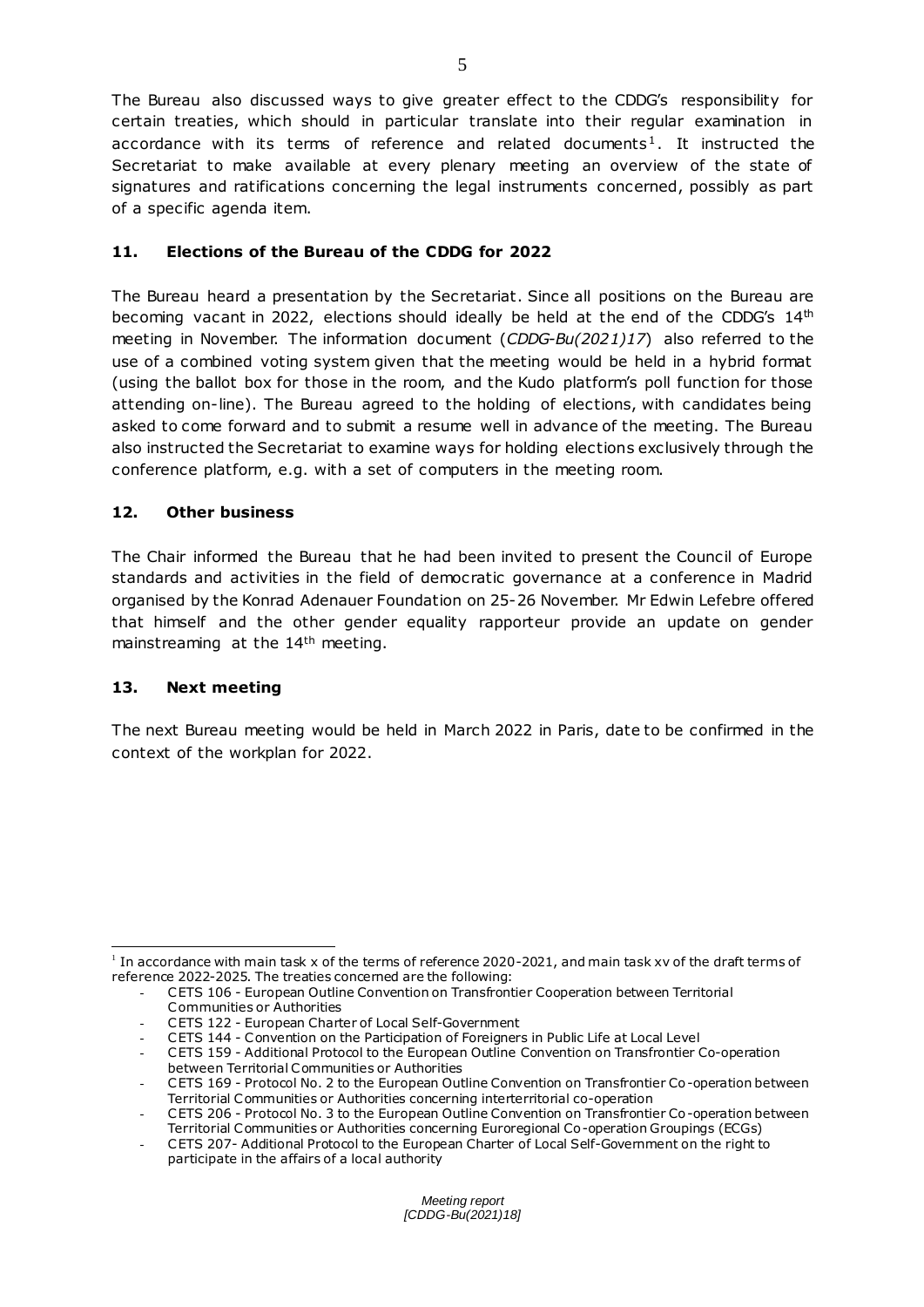The Bureau also discussed ways to give greater effect to the CDDG's responsibility for certain treaties, which should in particular translate into their regular examination in accordance with its terms of reference and related documents<sup>1</sup>. It instructed the Secretariat to make available at every plenary meeting an overview of the state of signatures and ratifications concerning the legal instruments concerned, possibly as part of a specific agenda item.

# **11. Elections of the Bureau of the CDDG for 2022**

The Bureau heard a presentation by the Secretariat. Since all positions on the Bureau are becoming vacant in 2022, elections should ideally be held at the end of the CDDG's  $14<sup>th</sup>$ meeting in November. The information document (*CDDG-Bu(2021)17*) also referred to the use of a combined voting system given that the meeting would be held in a hybrid format (using the ballot box for those in the room, and the Kudo platform's poll function for those attending on-line). The Bureau agreed to the holding of elections, with candidates being asked to come forward and to submit a resume well in advance of the meeting. The Bureau also instructed the Secretariat to examine ways for holding elections exclusively through the conference platform, e.g. with a set of computers in the meeting room.

## **12. Other business**

The Chair informed the Bureau that he had been invited to present the Council of Europe standards and activities in the field of democratic governance at a conference in Madrid organised by the Konrad Adenauer Foundation on 25-26 November. Mr Edwin Lefebre offered that himself and the other gender equality rapporteur provide an update on gender mainstreaming at the 14th meeting.

## **13. Next meeting**

The next Bureau meeting would be held in March 2022 in Paris, date to be confirmed in the context of the workplan for 2022.

 $\overline{a}$ <sup>1</sup> In accordance with main task x of the terms of reference 2020-2021, and main task xv of the draft terms of reference 2022-2025. The treaties concerned are the following:

<sup>-</sup> CETS 106 - European Outline Convention on Transfrontier Cooperation between Territorial Communities or Authorities

<sup>-</sup> CETS 122 - European Charter of Local Self-Government

<sup>-</sup> CETS 144 - Convention on the Participation of Foreigners in Public Life at Local Level

<sup>-</sup> CETS 159 - Additional Protocol to the European Outline Convention on Transfrontier Co-operation between Territorial Communities or Authorities

<sup>-</sup> CETS 169 - Protocol No. 2 to the European Outline Convention on Transfrontier Co-operation between Territorial Communities or Authorities concerning interterritorial co-operation

<sup>-</sup> CETS 206 - Protocol No. 3 to the European Outline Convention on Transfrontier Co-operation between Territorial Communities or Authorities concerning Euroregional Co-operation Groupings (ECGs)

<sup>-</sup> CETS 207- Additional Protocol to the European Charter of Local Self-Government on the right to participate in the affairs of a local authority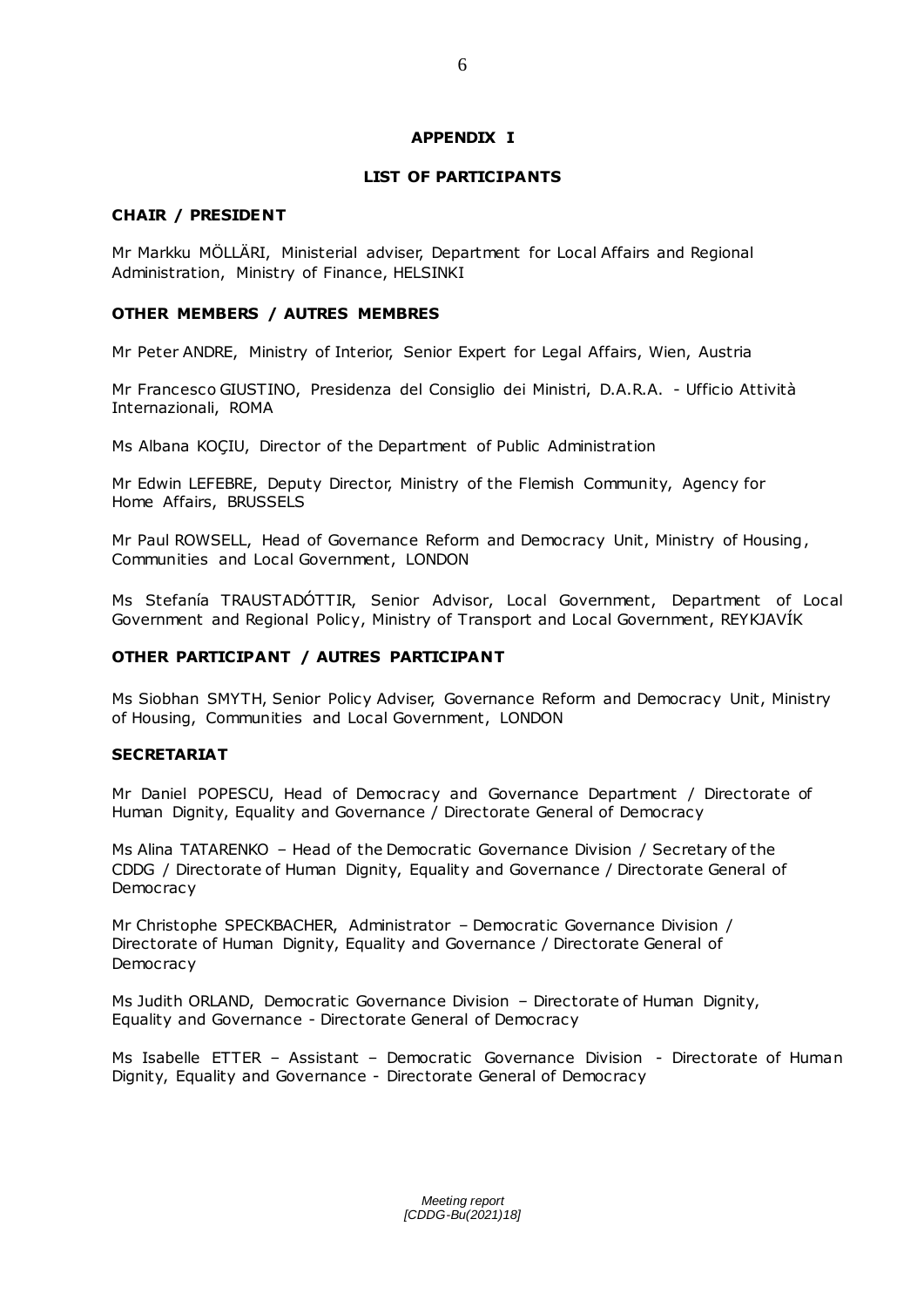#### **APPENDIX I**

#### **LIST OF PARTICIPANTS**

#### **CHAIR / PRESIDENT**

Mr Markku MÖLLÄRI, Ministerial adviser, Department for Local Affairs and Regional Administration, Ministry of Finance, HELSINKI

#### **OTHER MEMBERS / AUTRES MEMBRES**

Mr Peter ANDRE, Ministry of Interior, Senior Expert for Legal Affairs, Wien, Austria

Mr Francesco GIUSTINO, Presidenza del Consiglio dei Ministri, D.A.R.A. - Ufficio Attività Internazionali, ROMA

Ms Albana KOÇIU, Director of the Department of Public Administration

Mr Edwin LEFEBRE, Deputy Director, Ministry of the Flemish Community, Agency for Home Affairs, BRUSSELS

Mr Paul ROWSELL, Head of Governance Reform and Democracy Unit, Ministry of Housing, Communities and Local Government, LONDON

Ms Stefanía TRAUSTADÓTTIR, Senior Advisor, Local Government, Department of Local Government and Regional Policy, Ministry of Transport and Local Government, REYKJAVÍK

## **OTHER PARTICIPANT / AUTRES PARTICIPANT**

Ms Siobhan SMYTH, Senior Policy Adviser, Governance Reform and Democracy Unit, Ministry of Housing, Communities and Local Government, LONDON

#### **SECRETARIAT**

Mr Daniel POPESCU, Head of Democracy and Governance Department / Directorate of Human Dignity, Equality and Governance / Directorate General of Democracy

Ms Alina TATARENKO – Head of the Democratic Governance Division / Secretary of the CDDG / Directorate of Human Dignity, Equality and Governance / Directorate General of **Democracy** 

Mr Christophe SPECKBACHER, Administrator – Democratic Governance Division / Directorate of Human Dignity, Equality and Governance / Directorate General of **Democracy** 

Ms Judith ORLAND, Democratic Governance Division – Directorate of Human Dignity, Equality and Governance - Directorate General of Democracy

Ms Isabelle ETTER – Assistant – Democratic Governance Division - Directorate of Human Dignity, Equality and Governance - Directorate General of Democracy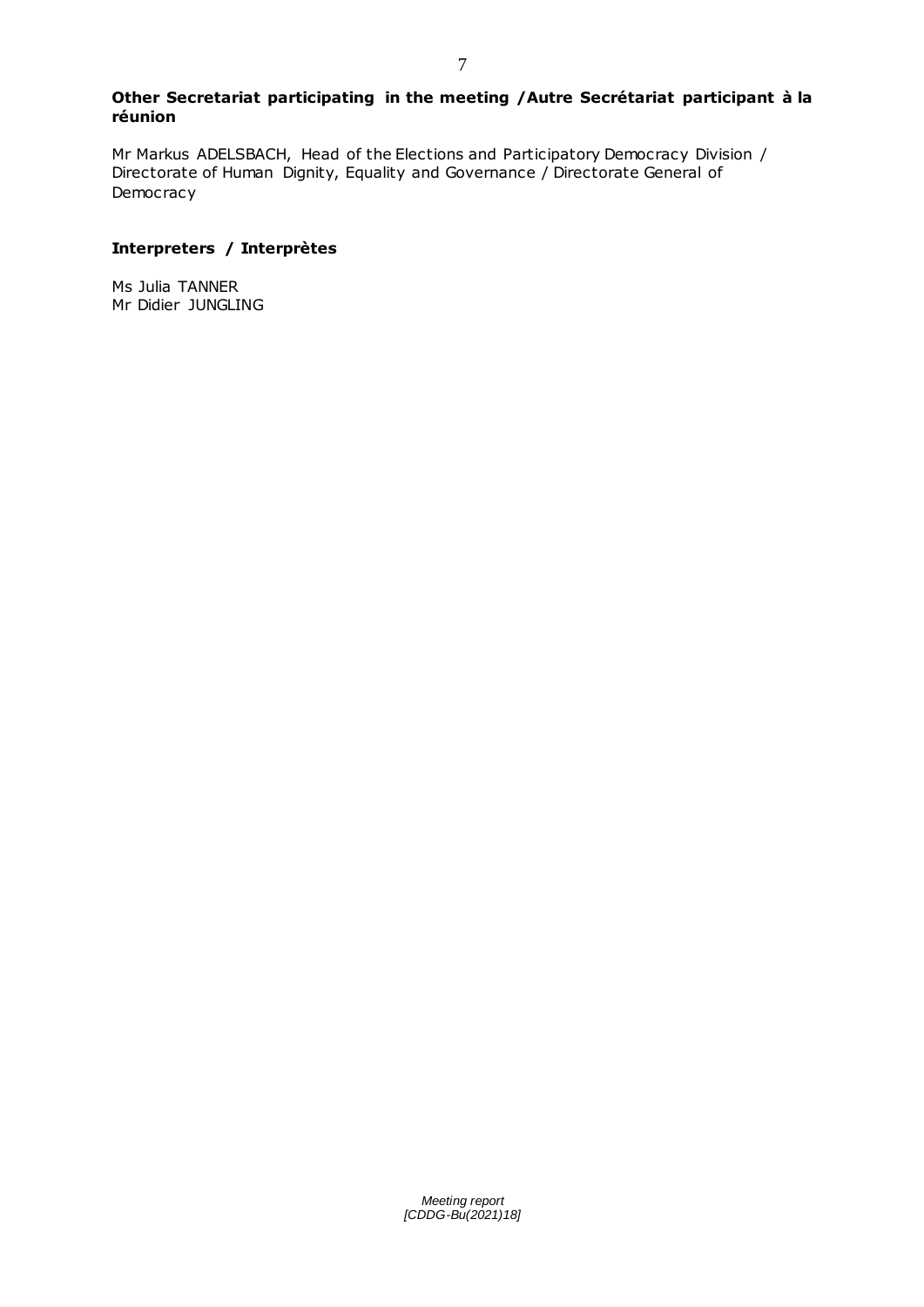#### **Other Secretariat participating in the meeting /Autre Secrétariat participant à la réunion**

Mr Markus ADELSBACH, Head of the Elections and Participatory Democracy Division / Directorate of Human Dignity, Equality and Governance / Directorate General of Democracy

## **Interpreters / Interprètes**

Ms Julia TANNER Mr Didier JUNGLING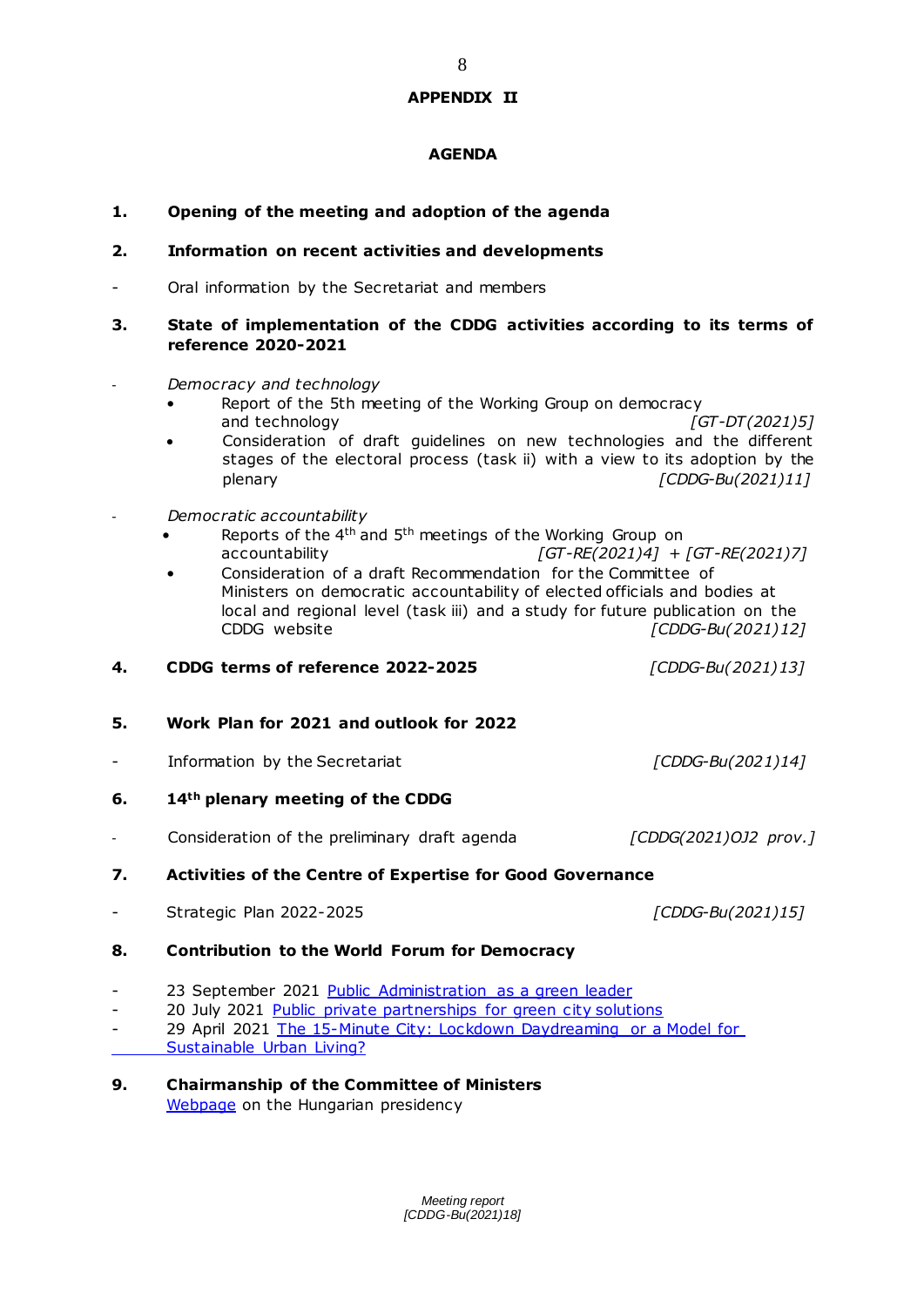#### **APPENDIX II**

#### **AGENDA**

## **1. Opening of the meeting and adoption of the agenda**

#### **2. Information on recent activities and developments**

Oral information by the Secretariat and members

#### **3. State of implementation of the CDDG activities according to its terms of reference 2020-2021**

- *Democracy and technology* 
	- Report of the 5th meeting of the Working Group on democracy and technology *candronal control in the set of GT-DT(2021)5]*
	- Consideration of draft guidelines on new technologies and the different stages of the electoral process (task ii) with a view to its adoption by the plenary *[CDDG-Bu(2021)11]*
- *Democratic accountability*
	- Reports of the  $4<sup>th</sup>$  and  $5<sup>th</sup>$  meetings of the Working Group on accountability *[GT-RE(2021)4] + [GT-RE(2021)7]*
	- Consideration of a draft Recommendation for the Committee of Ministers on democratic accountability of elected officials and bodies at local and regional level (task iii) and a study for future publication on the<br>CDDG website [CDDG-Bu(2021)12  $[CDDG-Bu(2021)12]$
- **4. CDDG terms of reference 2022-2025** *[CDDG-Bu(2021)13]*
- **5. Work Plan for 2021 and outlook for 2022**
- Information by the Secretariat *[CDDG-Bu(2021)14]*
- **6. 14th plenary meeting of the CDDG**
- Consideration of the preliminary draft agenda *[CDDG(2021)OJ2 prov.]*

#### **7. Activities of the Centre of Expertise for Good Governance**

- Strategic Plan 2022-2025 *[CDDG-Bu(2021)15]*

#### **8. Contribution to the World Forum for Democracy**

- 23 September 2021 [Public Administration as a green leader](https://www.coe.int/en/web/world-forum-democracy/webinar-public-administration-as-a-green-leader)
- 20 July 2021 [Public private partnerships for green city solutions](https://www.coe.int/en/web/good-governance/-/environment-and-the-private-sector)
- 29 April 2021 The 15-Minute City: Lockdown Daydreaming or a Model for [Sustainable Urban Living?](https://www.coe.int/en/web/good-governance/-/-the-15-minute-city-lockdown-daydreaming-or-a-model-for-sustainable-urban-living-a-democratic-governance-division-webinar)
- **9. Chairmanship of the Committee of Ministers** [Webpage](https://www.coe.int/en/web/presidency) on the Hungarian presidency

*Meeting report [CDDG-Bu(2021)18]*